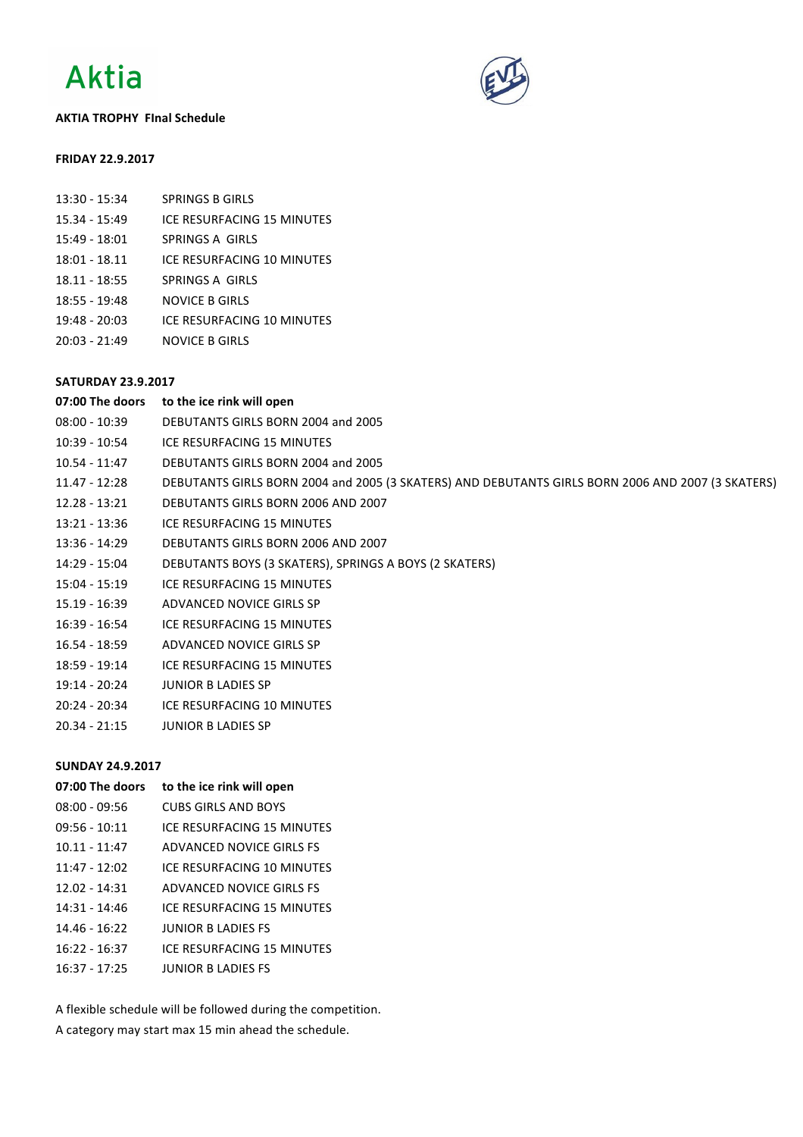

### **AKTIA TROPHY FInal Schedule**



#### **FRIDAY 22.9.2017**

| 13:30 - 15:34 | <b>SPRINGS B GIRLS</b> |
|---------------|------------------------|
|               |                        |

- 15.34 15:49 ICE RESURFACING 15 MINUTES
- 15:49 18:01 SPRINGS A GIRLS
- 18:01 18.11 ICE RESURFACING 10 MINUTES
- 18.11 18:55 SPRINGS A GIRLS
- 18:55 19:48 NOVICE B GIRLS
- 19:48 20:03 ICE RESURFACING 10 MINUTES
- 20:03 21:49 NOVICE B GIRLS

# **SATURDAY 23.9.2017**

| 07:00 The doors | to the ice rink will open                                                                         |
|-----------------|---------------------------------------------------------------------------------------------------|
| $08:00 - 10:39$ | DEBUTANTS GIRLS BORN 2004 and 2005                                                                |
| 10:39 - 10:54   | ICE RESURFACING 15 MINUTES                                                                        |
| $10.54 - 11:47$ | DEBUTANTS GIRLS BORN 2004 and 2005                                                                |
| $11.47 - 12:28$ | DEBUTANTS GIRLS BORN 2004 and 2005 (3 SKATERS) AND DEBUTANTS GIRLS BORN 2006 AND 2007 (3 SKATERS) |
| $12.28 - 13:21$ | DEBUTANTS GIRLS BORN 2006 AND 2007                                                                |
| $13:21 - 13:36$ | ICE RESURFACING 15 MINUTES                                                                        |
| $13:36 - 14:29$ | DEBUTANTS GIRLS BORN 2006 AND 2007                                                                |
| 14:29 - 15:04   | DEBUTANTS BOYS (3 SKATERS), SPRINGS A BOYS (2 SKATERS)                                            |
| 15:04 - 15:19   | ICE RESURFACING 15 MINUTES                                                                        |
| 15.19 - 16:39   | ADVANCED NOVICE GIRLS SP                                                                          |
| 16:39 - 16:54   | ICE RESURFACING 15 MINUTES                                                                        |
| 16.54 - 18:59   | ADVANCED NOVICE GIRLS SP                                                                          |
| $18:59 - 19:14$ | ICE RESURFACING 15 MINUTES                                                                        |
| 19:14 - 20:24   | <b>JUNIOR B LADIES SP</b>                                                                         |
| 20:24 - 20:34   | ICE RESURFACING 10 MINUTES                                                                        |
| $20.34 - 21:15$ | <b>JUNIOR B LADIES SP</b>                                                                         |
|                 |                                                                                                   |

## **SUNDAY 24.9.2017**

| to the ice rink will open  |
|----------------------------|
| CUBS GIRLS AND BOYS        |
| ICF RESURFACING 15 MINUTES |
| ADVANCED NOVICE GIRLS ES   |
| ICE RESURFACING 10 MINUTES |
| ADVANCED NOVICE GIRLS ES   |
| ICF RESURFACING 15 MINUTES |
| <b>JUNIOR BIADIES ES</b>   |
| ICE RESURFACING 15 MINUTES |
| <b>IUNIOR BIADIES ES</b>   |
|                            |

A flexible schedule will be followed during the competition. A category may start max 15 min ahead the schedule.